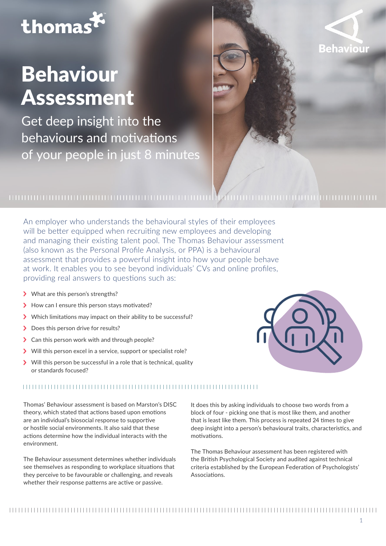# thomas

## Behaviour Assessment

Get deep insight into the behaviours and motivations of your people in just 8 minutes



## 

An employer who understands the behavioural styles of their employees will be better equipped when recruiting new employees and developing and managing their existing talent pool. The Thomas Behaviour assessment (also known as the Personal Profile Analysis, or PPA) is a behavioural assessment that provides a powerful insight into how your people behave at work. It enables you to see beyond individuals' CVs and online profiles, providing real answers to questions such as:

- > What are this person's strengths?
- > How can I ensure this person stays motivated?
- >Which limitations may impact on their ability to be successful?
- > Does this person drive for results?
- > Can this person work with and through people?
- > Will this person excel in a service, support or specialist role?
- >Will this person be successful in a role that is technical, quality or standards focused?



### 

Thomas' Behaviour assessment is based on Marston's DISC theory, which stated that actions based upon emotions are an individual's biosocial response to supportive or hostile social environments. It also said that these actions determine how the individual interacts with the environment.

The Behaviour assessment determines whether individuals see themselves as responding to workplace situations that they perceive to be favourable or challenging, and reveals whether their response patterns are active or passive.

It does this by asking individuals to choose two words from a block of four - picking one that is most like them, and another that is least like them. This process is repeated 24 times to give deep insight into a person's behavioural traits, characteristics, and motivations.

The Thomas Behaviour assessment has been registered with the British Psychological Society and audited against technical criteria established by the European Federation of Psychologists' Associations.

####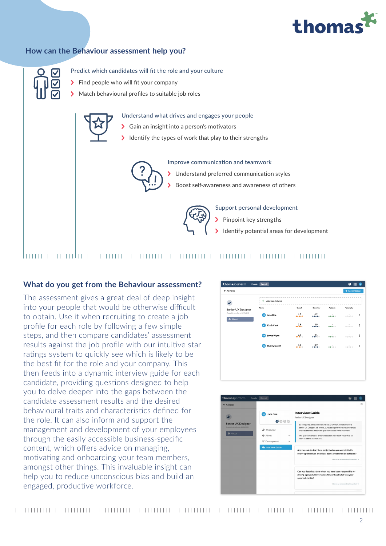## thomas

### **How can the Behaviour assessment help you?**



Predict which candidates will fit the role and your culture

- >Find people who will fit your company
- >Match behavioural profiles to suitable job roles



Understand what drives and engages your people

- >Gain an insight into a person's motivators
- Identify the types of work that play to their strengths



Improve communication and teamwork

>Understand preferred communication styles

>Boost self-awareness and awareness of others



Support personal development

- >Pinpoint key strengths
- Identify potential areas for development

## 

### **What do you get from the Behaviour assessment?**

The assessment gives a great deal of deep insight into your people that would be otherwise difficult to obtain. Use it when recruiting to create a job profile for each role by following a few simple steps, and then compare candidates' assessment results against the job profile with our intuitive star ratings system to quickly see which is likely to be the best fit for the role and your company. This then feeds into a dynamic interview guide for each candidate, providing questions designed to help you to delve deeper into the gaps between the candidate assessment results and the desired behavioural traits and characteristics defined for the role. It can also inform and support the management and development of your employees through the easily accessible business-specific content, which offers advice on managing, motivating and onboarding your team members, amongst other things. This invaluable insight can help you to reduce unconscious bias and build an engaged, productive workforce.